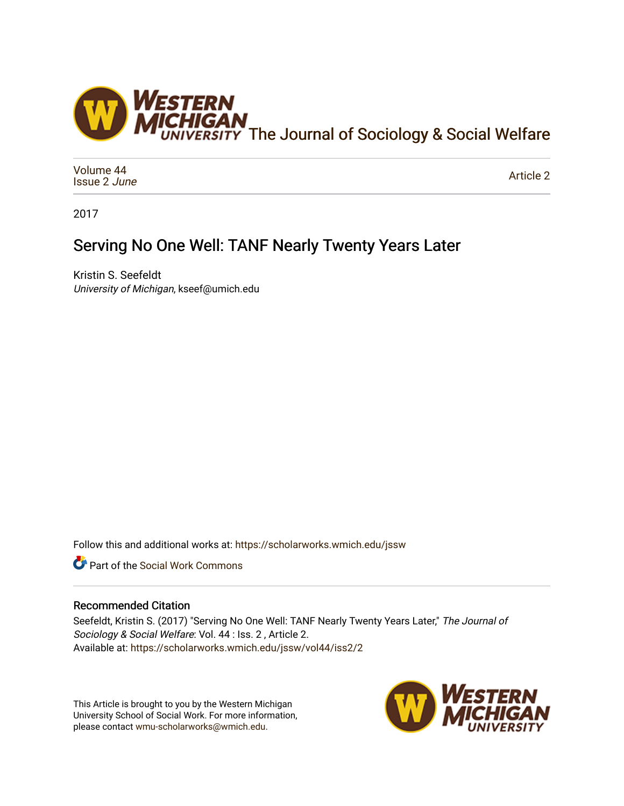

[Volume 44](https://scholarworks.wmich.edu/jssw/vol44) [Issue 2](https://scholarworks.wmich.edu/jssw/vol44/iss2) June

[Article 2](https://scholarworks.wmich.edu/jssw/vol44/iss2/2) 

2017

# Serving No One Well: TANF Nearly Twenty Years Later

Kristin S. Seefeldt University of Michigan, kseef@umich.edu

Follow this and additional works at: [https://scholarworks.wmich.edu/jssw](https://scholarworks.wmich.edu/jssw?utm_source=scholarworks.wmich.edu%2Fjssw%2Fvol44%2Fiss2%2F2&utm_medium=PDF&utm_campaign=PDFCoverPages) 

Part of the [Social Work Commons](http://network.bepress.com/hgg/discipline/713?utm_source=scholarworks.wmich.edu%2Fjssw%2Fvol44%2Fiss2%2F2&utm_medium=PDF&utm_campaign=PDFCoverPages)

### Recommended Citation

Seefeldt, Kristin S. (2017) "Serving No One Well: TANF Nearly Twenty Years Later," The Journal of Sociology & Social Welfare: Vol. 44 : Iss. 2 , Article 2. Available at: [https://scholarworks.wmich.edu/jssw/vol44/iss2/2](https://scholarworks.wmich.edu/jssw/vol44/iss2/2?utm_source=scholarworks.wmich.edu%2Fjssw%2Fvol44%2Fiss2%2F2&utm_medium=PDF&utm_campaign=PDFCoverPages)

This Article is brought to you by the Western Michigan University School of Social Work. For more information, please contact [wmu-scholarworks@wmich.edu.](mailto:wmu-scholarworks@wmich.edu)

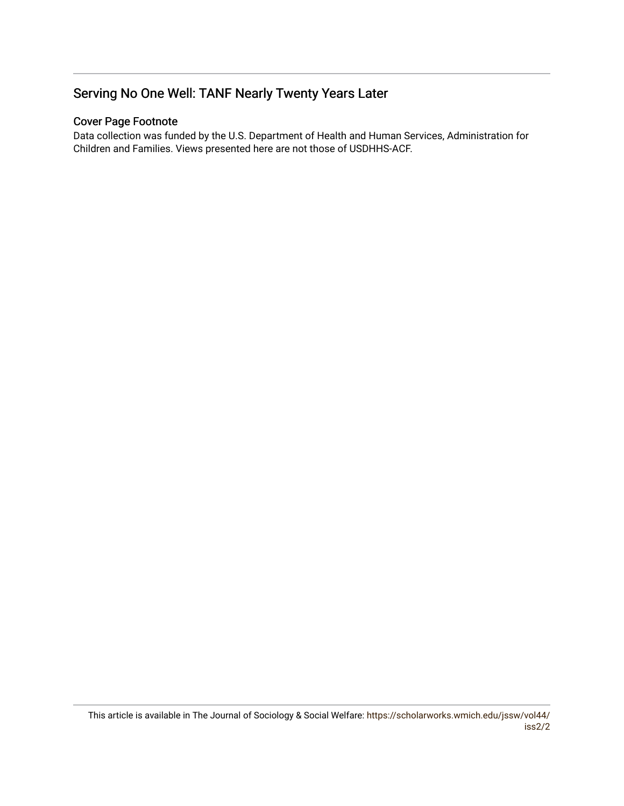# Serving No One Well: TANF Nearly Twenty Years Later

# Cover Page Footnote

Data collection was funded by the U.S. Department of Health and Human Services, Administration for Children and Families. Views presented here are not those of USDHHS-ACF.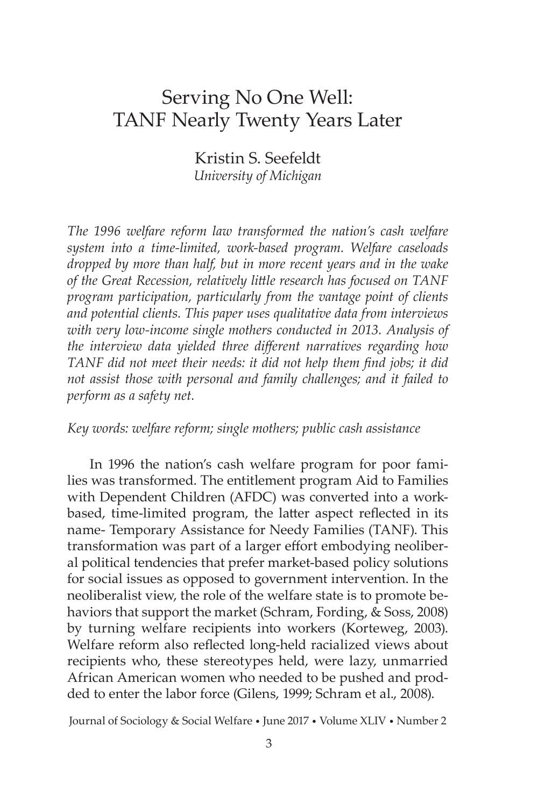# Serving No One Well: TANF Nearly Twenty Years Later

Kristin S. Seefeldt *University of Michigan*

*The 1996 welfare reform law transformed the nation's cash welfare system into a time-limited, work-based program. Welfare caseloads dropped by more than half, but in more recent years and in the wake of the Great Recession, relatively little research has focused on TANF program participation, particularly from the vantage point of clients and potential clients. This paper uses qualitative data from interviews with very low-income single mothers conducted in 2013. Analysis of the interview data yielded three different narratives regarding how TANF did not meet their needs: it did not help them find jobs; it did not assist those with personal and family challenges; and it failed to perform as a safety net.*

#### *Key words: welfare reform; single mothers; public cash assistance*

In 1996 the nation's cash welfare program for poor families was transformed. The entitlement program Aid to Families with Dependent Children (AFDC) was converted into a workbased, time-limited program, the latter aspect reflected in its name- Temporary Assistance for Needy Families (TANF). This transformation was part of a larger effort embodying neoliberal political tendencies that prefer market-based policy solutions for social issues as opposed to government intervention. In the neoliberalist view, the role of the welfare state is to promote behaviors that support the market (Schram, Fording, & Soss, 2008) by turning welfare recipients into workers (Korteweg, 2003). Welfare reform also reflected long-held racialized views about recipients who, these stereotypes held, were lazy, unmarried African American women who needed to be pushed and prodded to enter the labor force (Gilens, 1999; Schram et al., 2008).

Journal of Sociology & Social Welfare • June 2017 • Volume XLIV • Number 2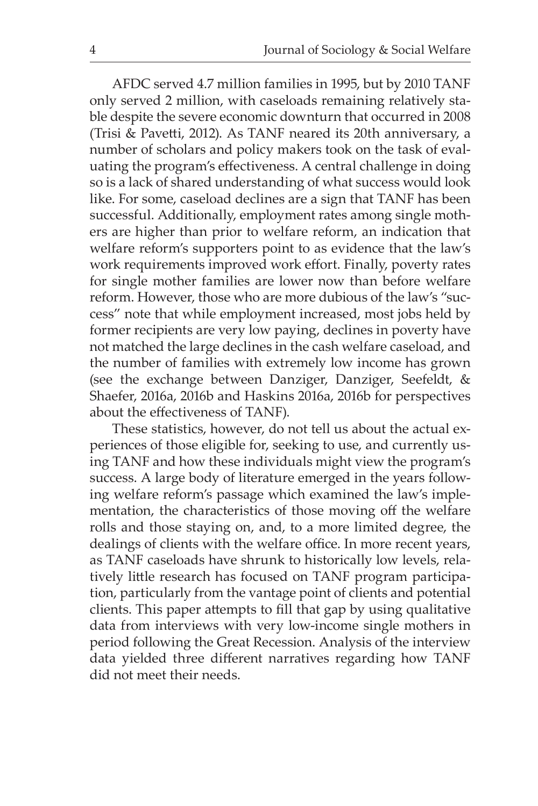AFDC served 4.7 million families in 1995, but by 2010 TANF only served 2 million, with caseloads remaining relatively stable despite the severe economic downturn that occurred in 2008 (Trisi & Pavetti, 2012). As TANF neared its 20th anniversary, a number of scholars and policy makers took on the task of evaluating the program's effectiveness. A central challenge in doing so is a lack of shared understanding of what success would look like. For some, caseload declines are a sign that TANF has been successful. Additionally, employment rates among single mothers are higher than prior to welfare reform, an indication that welfare reform's supporters point to as evidence that the law's work requirements improved work effort. Finally, poverty rates for single mother families are lower now than before welfare reform. However, those who are more dubious of the law's "success" note that while employment increased, most jobs held by former recipients are very low paying, declines in poverty have not matched the large declines in the cash welfare caseload, and the number of families with extremely low income has grown (see the exchange between Danziger, Danziger, Seefeldt, & Shaefer, 2016a, 2016b and Haskins 2016a, 2016b for perspectives about the effectiveness of TANF).

These statistics, however, do not tell us about the actual experiences of those eligible for, seeking to use, and currently using TANF and how these individuals might view the program's success. A large body of literature emerged in the years following welfare reform's passage which examined the law's implementation, the characteristics of those moving off the welfare rolls and those staying on, and, to a more limited degree, the dealings of clients with the welfare office. In more recent years, as TANF caseloads have shrunk to historically low levels, relatively little research has focused on TANF program participation, particularly from the vantage point of clients and potential clients. This paper attempts to fill that gap by using qualitative data from interviews with very low-income single mothers in period following the Great Recession. Analysis of the interview data yielded three different narratives regarding how TANF did not meet their needs.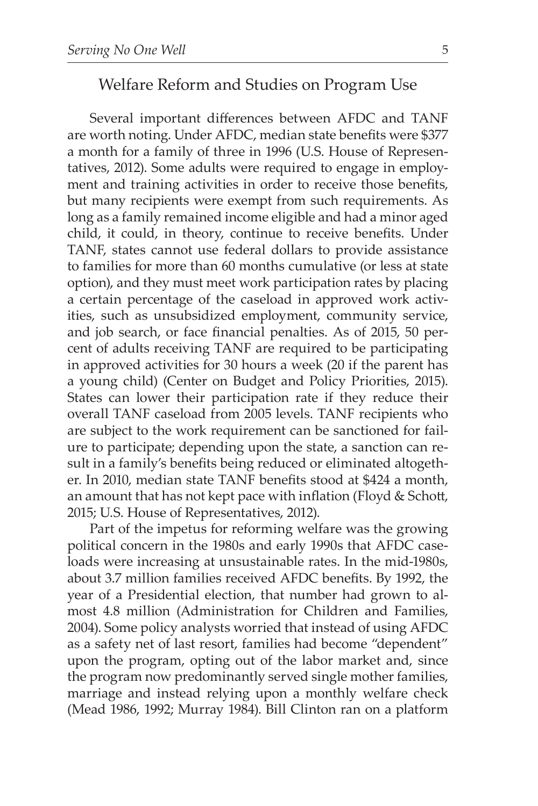## Welfare Reform and Studies on Program Use

Several important differences between AFDC and TANF are worth noting. Under AFDC, median state benefits were \$377 a month for a family of three in 1996 (U.S. House of Representatives, 2012). Some adults were required to engage in employment and training activities in order to receive those benefits, but many recipients were exempt from such requirements. As long as a family remained income eligible and had a minor aged child, it could, in theory, continue to receive benefits. Under TANF, states cannot use federal dollars to provide assistance to families for more than 60 months cumulative (or less at state option), and they must meet work participation rates by placing a certain percentage of the caseload in approved work activities, such as unsubsidized employment, community service, and job search, or face financial penalties. As of 2015, 50 percent of adults receiving TANF are required to be participating in approved activities for 30 hours a week (20 if the parent has a young child) (Center on Budget and Policy Priorities, 2015). States can lower their participation rate if they reduce their overall TANF caseload from 2005 levels. TANF recipients who are subject to the work requirement can be sanctioned for failure to participate; depending upon the state, a sanction can result in a family's benefits being reduced or eliminated altogether. In 2010, median state TANF benefits stood at \$424 a month, an amount that has not kept pace with inflation (Floyd & Schott, 2015; U.S. House of Representatives, 2012).

Part of the impetus for reforming welfare was the growing political concern in the 1980s and early 1990s that AFDC caseloads were increasing at unsustainable rates. In the mid-1980s, about 3.7 million families received AFDC benefits. By 1992, the year of a Presidential election, that number had grown to almost 4.8 million (Administration for Children and Families, 2004). Some policy analysts worried that instead of using AFDC as a safety net of last resort, families had become "dependent" upon the program, opting out of the labor market and, since the program now predominantly served single mother families, marriage and instead relying upon a monthly welfare check (Mead 1986, 1992; Murray 1984). Bill Clinton ran on a platform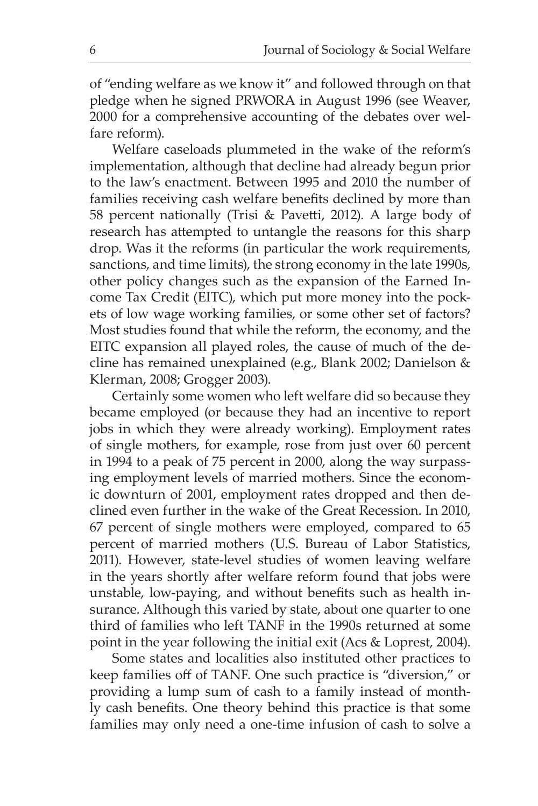of "ending welfare as we know it" and followed through on that pledge when he signed PRWORA in August 1996 (see Weaver, 2000 for a comprehensive accounting of the debates over welfare reform).

Welfare caseloads plummeted in the wake of the reform's implementation, although that decline had already begun prior to the law's enactment. Between 1995 and 2010 the number of families receiving cash welfare benefits declined by more than 58 percent nationally (Trisi & Pavetti, 2012). A large body of research has attempted to untangle the reasons for this sharp drop. Was it the reforms (in particular the work requirements, sanctions, and time limits), the strong economy in the late 1990s, other policy changes such as the expansion of the Earned Income Tax Credit (EITC), which put more money into the pockets of low wage working families, or some other set of factors? Most studies found that while the reform, the economy, and the EITC expansion all played roles, the cause of much of the decline has remained unexplained (e.g., Blank 2002; Danielson & Klerman, 2008; Grogger 2003).

Certainly some women who left welfare did so because they became employed (or because they had an incentive to report jobs in which they were already working). Employment rates of single mothers, for example, rose from just over 60 percent in 1994 to a peak of 75 percent in 2000, along the way surpassing employment levels of married mothers. Since the economic downturn of 2001, employment rates dropped and then declined even further in the wake of the Great Recession. In 2010, 67 percent of single mothers were employed, compared to 65 percent of married mothers (U.S. Bureau of Labor Statistics, 2011). However, state-level studies of women leaving welfare in the years shortly after welfare reform found that jobs were unstable, low-paying, and without benefits such as health insurance. Although this varied by state, about one quarter to one third of families who left TANF in the 1990s returned at some point in the year following the initial exit (Acs & Loprest, 2004).

Some states and localities also instituted other practices to keep families off of TANF. One such practice is "diversion," or providing a lump sum of cash to a family instead of monthly cash benefits. One theory behind this practice is that some families may only need a one-time infusion of cash to solve a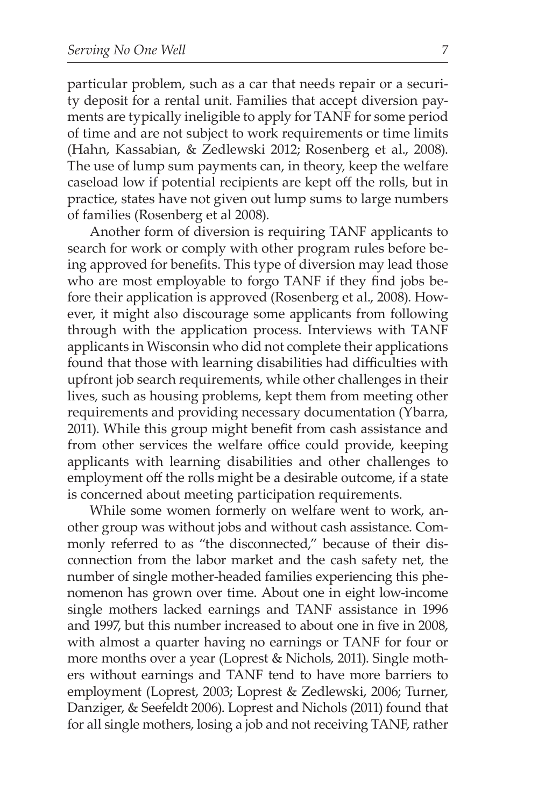particular problem, such as a car that needs repair or a security deposit for a rental unit. Families that accept diversion payments are typically ineligible to apply for TANF for some period of time and are not subject to work requirements or time limits (Hahn, Kassabian, & Zedlewski 2012; Rosenberg et al., 2008). The use of lump sum payments can, in theory, keep the welfare caseload low if potential recipients are kept off the rolls, but in practice, states have not given out lump sums to large numbers of families (Rosenberg et al 2008).

Another form of diversion is requiring TANF applicants to search for work or comply with other program rules before being approved for benefits. This type of diversion may lead those who are most employable to forgo TANF if they find jobs before their application is approved (Rosenberg et al., 2008). However, it might also discourage some applicants from following through with the application process. Interviews with TANF applicants in Wisconsin who did not complete their applications found that those with learning disabilities had difficulties with upfront job search requirements, while other challenges in their lives, such as housing problems, kept them from meeting other requirements and providing necessary documentation (Ybarra, 2011). While this group might benefit from cash assistance and from other services the welfare office could provide, keeping applicants with learning disabilities and other challenges to employment off the rolls might be a desirable outcome, if a state is concerned about meeting participation requirements.

While some women formerly on welfare went to work, another group was without jobs and without cash assistance. Commonly referred to as "the disconnected," because of their disconnection from the labor market and the cash safety net, the number of single mother-headed families experiencing this phenomenon has grown over time. About one in eight low-income single mothers lacked earnings and TANF assistance in 1996 and 1997, but this number increased to about one in five in 2008, with almost a quarter having no earnings or TANF for four or more months over a year (Loprest & Nichols, 2011). Single mothers without earnings and TANF tend to have more barriers to employment (Loprest, 2003; Loprest & Zedlewski, 2006; Turner, Danziger, & Seefeldt 2006). Loprest and Nichols (2011) found that for all single mothers, losing a job and not receiving TANF, rather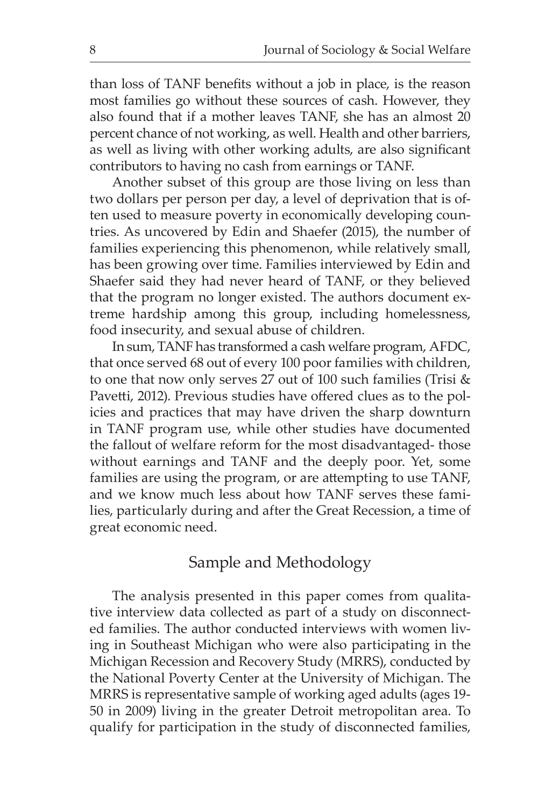than loss of TANF benefits without a job in place, is the reason most families go without these sources of cash. However, they also found that if a mother leaves TANF, she has an almost 20 percent chance of not working, as well. Health and other barriers, as well as living with other working adults, are also significant contributors to having no cash from earnings or TANF.

Another subset of this group are those living on less than two dollars per person per day, a level of deprivation that is often used to measure poverty in economically developing countries. As uncovered by Edin and Shaefer (2015), the number of families experiencing this phenomenon, while relatively small, has been growing over time. Families interviewed by Edin and Shaefer said they had never heard of TANF, or they believed that the program no longer existed. The authors document extreme hardship among this group, including homelessness, food insecurity, and sexual abuse of children.

In sum, TANF has transformed a cash welfare program, AFDC, that once served 68 out of every 100 poor families with children, to one that now only serves 27 out of 100 such families (Trisi & Pavetti, 2012). Previous studies have offered clues as to the policies and practices that may have driven the sharp downturn in TANF program use, while other studies have documented the fallout of welfare reform for the most disadvantaged- those without earnings and TANF and the deeply poor. Yet, some families are using the program, or are attempting to use TANF, and we know much less about how TANF serves these families, particularly during and after the Great Recession, a time of great economic need.

#### Sample and Methodology

The analysis presented in this paper comes from qualitative interview data collected as part of a study on disconnected families. The author conducted interviews with women living in Southeast Michigan who were also participating in the Michigan Recession and Recovery Study (MRRS), conducted by the National Poverty Center at the University of Michigan. The MRRS is representative sample of working aged adults (ages 19- 50 in 2009) living in the greater Detroit metropolitan area. To qualify for participation in the study of disconnected families,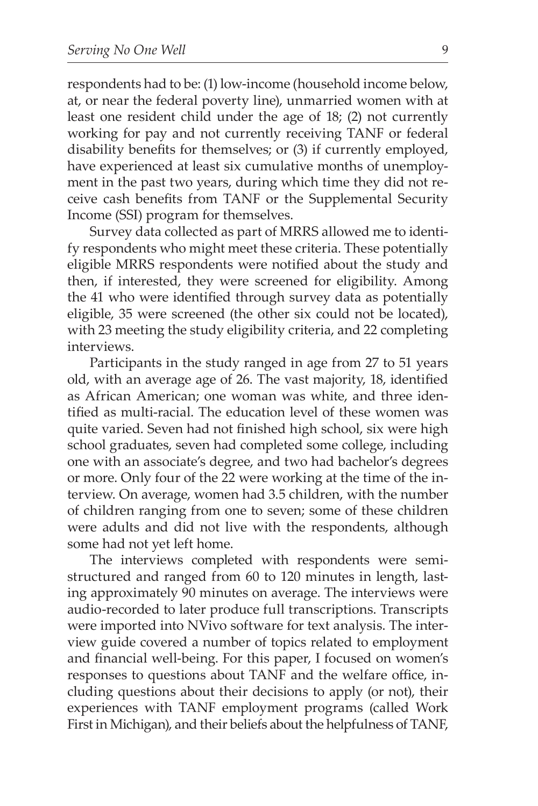respondents had to be: (1) low-income (household income below, at, or near the federal poverty line), unmarried women with at least one resident child under the age of 18; (2) not currently working for pay and not currently receiving TANF or federal disability benefits for themselves; or (3) if currently employed, have experienced at least six cumulative months of unemployment in the past two years, during which time they did not receive cash benefits from TANF or the Supplemental Security Income (SSI) program for themselves.

Survey data collected as part of MRRS allowed me to identify respondents who might meet these criteria. These potentially eligible MRRS respondents were notified about the study and then, if interested, they were screened for eligibility. Among the 41 who were identified through survey data as potentially eligible, 35 were screened (the other six could not be located), with 23 meeting the study eligibility criteria, and 22 completing interviews.

Participants in the study ranged in age from 27 to 51 years old, with an average age of 26. The vast majority, 18, identified as African American; one woman was white, and three identified as multi-racial. The education level of these women was quite varied. Seven had not finished high school, six were high school graduates, seven had completed some college, including one with an associate's degree, and two had bachelor's degrees or more. Only four of the 22 were working at the time of the interview. On average, women had 3.5 children, with the number of children ranging from one to seven; some of these children were adults and did not live with the respondents, although some had not yet left home.

The interviews completed with respondents were semistructured and ranged from 60 to 120 minutes in length, lasting approximately 90 minutes on average. The interviews were audio-recorded to later produce full transcriptions. Transcripts were imported into NVivo software for text analysis. The interview guide covered a number of topics related to employment and financial well-being. For this paper, I focused on women's responses to questions about TANF and the welfare office, including questions about their decisions to apply (or not), their experiences with TANF employment programs (called Work First in Michigan), and their beliefs about the helpfulness of TANF,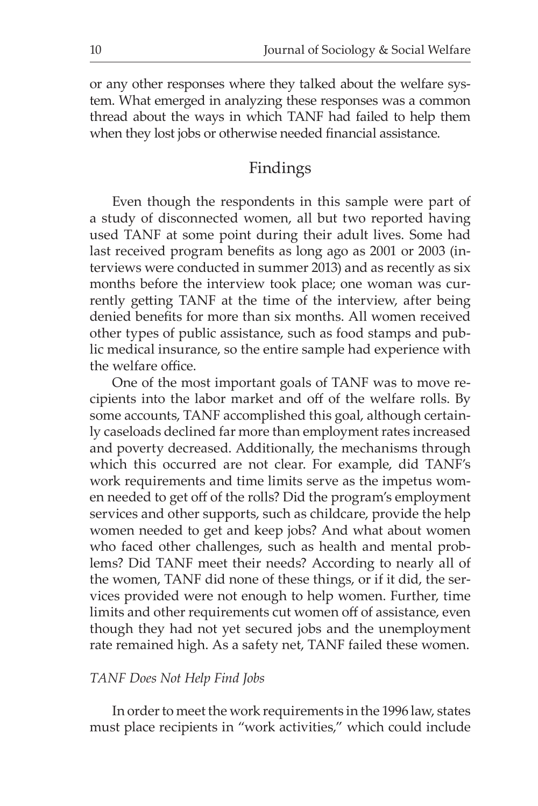or any other responses where they talked about the welfare system. What emerged in analyzing these responses was a common thread about the ways in which TANF had failed to help them when they lost jobs or otherwise needed financial assistance.

#### Findings

Even though the respondents in this sample were part of a study of disconnected women, all but two reported having used TANF at some point during their adult lives. Some had last received program benefits as long ago as 2001 or 2003 (interviews were conducted in summer 2013) and as recently as six months before the interview took place; one woman was currently getting TANF at the time of the interview, after being denied benefits for more than six months. All women received other types of public assistance, such as food stamps and public medical insurance, so the entire sample had experience with the welfare office.

One of the most important goals of TANF was to move recipients into the labor market and off of the welfare rolls. By some accounts, TANF accomplished this goal, although certainly caseloads declined far more than employment rates increased and poverty decreased. Additionally, the mechanisms through which this occurred are not clear. For example, did TANF's work requirements and time limits serve as the impetus women needed to get off of the rolls? Did the program's employment services and other supports, such as childcare, provide the help women needed to get and keep jobs? And what about women who faced other challenges, such as health and mental problems? Did TANF meet their needs? According to nearly all of the women, TANF did none of these things, or if it did, the services provided were not enough to help women. Further, time limits and other requirements cut women off of assistance, even though they had not yet secured jobs and the unemployment rate remained high. As a safety net, TANF failed these women.

#### *TANF Does Not Help Find Jobs*

In order to meet the work requirements in the 1996 law, states must place recipients in "work activities," which could include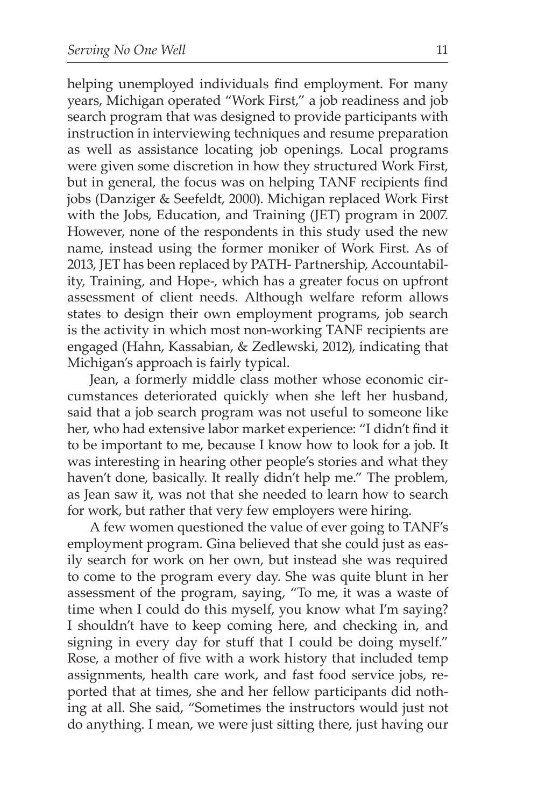helping unemployed individuals find employment. For many years, Michigan operated "Work First," a job readiness and job search program that was designed to provide participants with instruction in interviewing techniques and resume preparation as well as assistance locating job openings. Local programs were given some discretion in how they structured Work First, but in general, the focus was on helping TANF recipients find jobs (Danziger & Seefeldt, 2000). Michigan replaced Work First with the Jobs, Education, and Training (JET) program in 2007. However, none of the respondents in this study used the new name, instead using the former moniker of Work First. As of 2013, JET has been replaced by PATH- Partnership, Accountability, Training, and Hope-, which has a greater focus on upfront assessment of client needs. Although welfare reform allows states to design their own employment programs, job search is the activity in which most non-working TANF recipients are engaged (Hahn, Kassabian, & Zedlewski, 2012), indicating that Michigan's approach is fairly typical.

Jean, a formerly middle class mother whose economic circumstances deteriorated quickly when she left her husband, said that a job search program was not useful to someone like her, who had extensive labor market experience: "I didn't find it to be important to me, because I know how to look for a job. It was interesting in hearing other people's stories and what they haven't done, basically. It really didn't help me." The problem, as Jean saw it, was not that she needed to learn how to search for work, but rather that very few employers were hiring.

A few women questioned the value of ever going to TANF's employment program. Gina believed that she could just as easily search for work on her own, but instead she was required to come to the program every day. She was quite blunt in her assessment of the program, saying, "To me, it was a waste of time when I could do this myself, you know what I'm saying? I shouldn't have to keep coming here, and checking in, and signing in every day for stuff that I could be doing myself." Rose, a mother of five with a work history that included temp assignments, health care work, and fast food service jobs, reported that at times, she and her fellow participants did nothing at all. She said, "Sometimes the instructors would just not do anything. I mean, we were just sitting there, just having our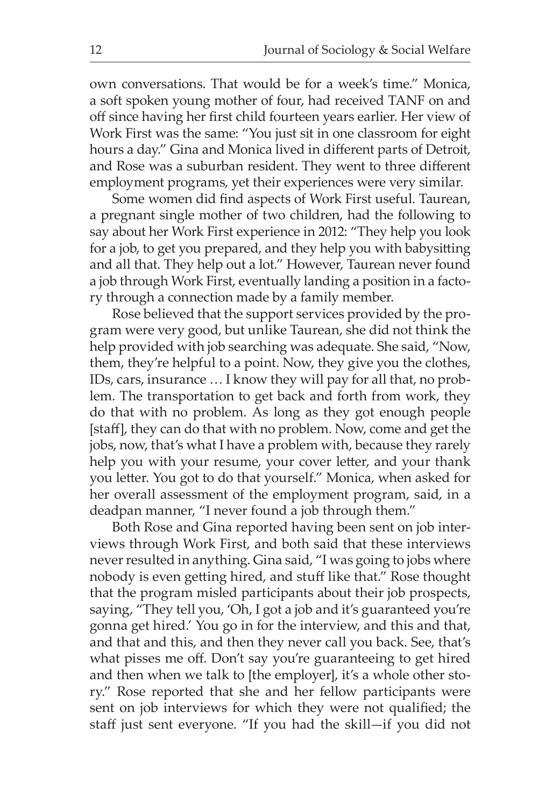own conversations. That would be for a week's time." Monica, a soft spoken young mother of four, had received TANF on and off since having her first child fourteen years earlier. Her view of Work First was the same: "You just sit in one classroom for eight hours a day." Gina and Monica lived in different parts of Detroit, and Rose was a suburban resident. They went to three different employment programs, yet their experiences were very similar.

Some women did find aspects of Work First useful. Taurean, a pregnant single mother of two children, had the following to say about her Work First experience in 2012: "They help you look for a job, to get you prepared, and they help you with babysitting and all that. They help out a lot." However, Taurean never found a job through Work First, eventually landing a position in a factory through a connection made by a family member.

Rose believed that the support services provided by the program were very good, but unlike Taurean, she did not think the help provided with job searching was adequate. She said, "Now, them, they're helpful to a point. Now, they give you the clothes, IDs, cars, insurance … I know they will pay for all that, no problem. The transportation to get back and forth from work, they do that with no problem. As long as they got enough people [staff], they can do that with no problem. Now, come and get the jobs, now, that's what I have a problem with, because they rarely help you with your resume, your cover letter, and your thank you letter. You got to do that yourself." Monica, when asked for her overall assessment of the employment program, said, in a deadpan manner, "I never found a job through them."

Both Rose and Gina reported having been sent on job interviews through Work First, and both said that these interviews never resulted in anything. Gina said, "I was going to jobs where nobody is even getting hired, and stuff like that." Rose thought that the program misled participants about their job prospects, saying, "They tell you, 'Oh, I got a job and it's guaranteed you're gonna get hired.' You go in for the interview, and this and that, and that and this, and then they never call you back. See, that's what pisses me off. Don't say you're guaranteeing to get hired and then when we talk to [the employer], it's a whole other story." Rose reported that she and her fellow participants were sent on job interviews for which they were not qualified; the staff just sent everyone. "If you had the skill—if you did not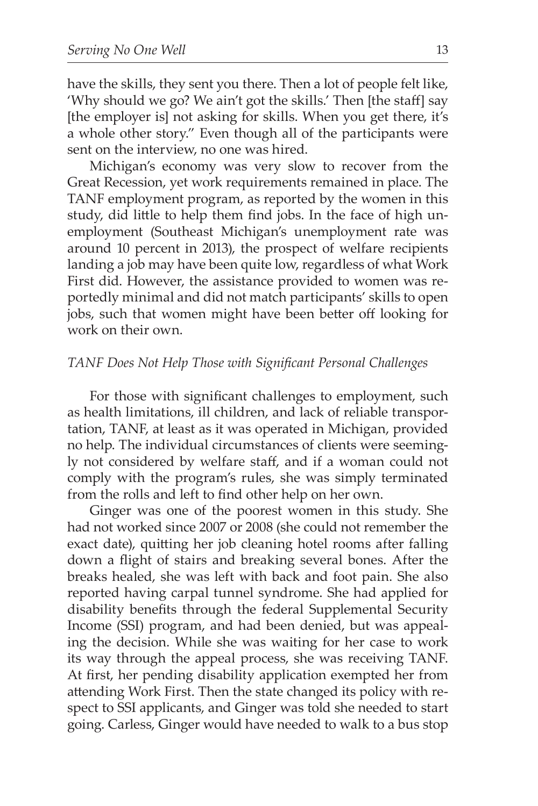have the skills, they sent you there. Then a lot of people felt like, 'Why should we go? We ain't got the skills.' Then [the staff] say [the employer is] not asking for skills. When you get there, it's a whole other story." Even though all of the participants were sent on the interview, no one was hired.

Michigan's economy was very slow to recover from the Great Recession, yet work requirements remained in place. The TANF employment program, as reported by the women in this study, did little to help them find jobs. In the face of high unemployment (Southeast Michigan's unemployment rate was around 10 percent in 2013), the prospect of welfare recipients landing a job may have been quite low, regardless of what Work First did. However, the assistance provided to women was reportedly minimal and did not match participants' skills to open jobs, such that women might have been better off looking for work on their own.

#### *TANF Does Not Help Those with Significant Personal Challenges*

For those with significant challenges to employment, such as health limitations, ill children, and lack of reliable transportation, TANF, at least as it was operated in Michigan, provided no help. The individual circumstances of clients were seemingly not considered by welfare staff, and if a woman could not comply with the program's rules, she was simply terminated from the rolls and left to find other help on her own.

Ginger was one of the poorest women in this study. She had not worked since 2007 or 2008 (she could not remember the exact date), quitting her job cleaning hotel rooms after falling down a flight of stairs and breaking several bones. After the breaks healed, she was left with back and foot pain. She also reported having carpal tunnel syndrome. She had applied for disability benefits through the federal Supplemental Security Income (SSI) program, and had been denied, but was appealing the decision. While she was waiting for her case to work its way through the appeal process, she was receiving TANF. At first, her pending disability application exempted her from attending Work First. Then the state changed its policy with respect to SSI applicants, and Ginger was told she needed to start going. Carless, Ginger would have needed to walk to a bus stop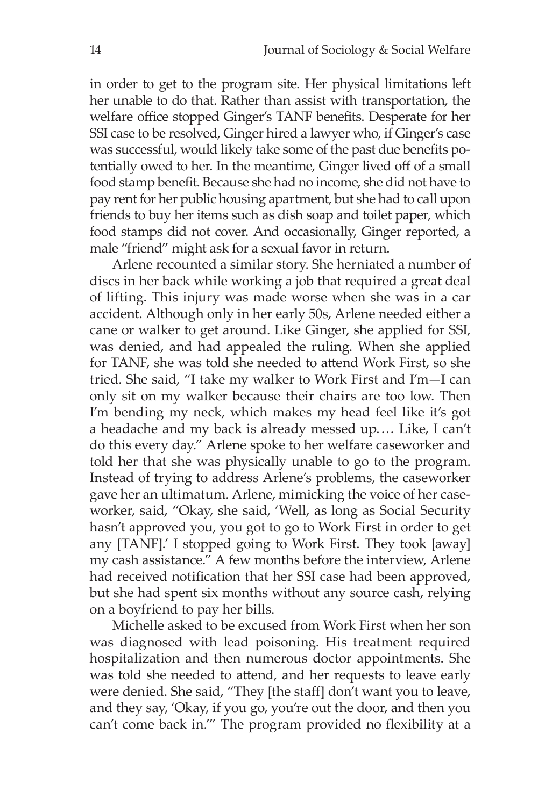in order to get to the program site. Her physical limitations left her unable to do that. Rather than assist with transportation, the welfare office stopped Ginger's TANF benefits. Desperate for her SSI case to be resolved, Ginger hired a lawyer who, if Ginger's case was successful, would likely take some of the past due benefits potentially owed to her. In the meantime, Ginger lived off of a small food stamp benefit. Because she had no income, she did not have to pay rent for her public housing apartment, but she had to call upon friends to buy her items such as dish soap and toilet paper, which food stamps did not cover. And occasionally, Ginger reported, a male "friend" might ask for a sexual favor in return.

Arlene recounted a similar story. She herniated a number of discs in her back while working a job that required a great deal of lifting. This injury was made worse when she was in a car accident. Although only in her early 50s, Arlene needed either a cane or walker to get around. Like Ginger, she applied for SSI, was denied, and had appealed the ruling. When she applied for TANF, she was told she needed to attend Work First, so she tried. She said, "I take my walker to Work First and I'm—I can only sit on my walker because their chairs are too low. Then I'm bending my neck, which makes my head feel like it's got a headache and my back is already messed up. … Like, I can't do this every day." Arlene spoke to her welfare caseworker and told her that she was physically unable to go to the program. Instead of trying to address Arlene's problems, the caseworker gave her an ultimatum. Arlene, mimicking the voice of her caseworker, said, "Okay, she said, 'Well, as long as Social Security hasn't approved you, you got to go to Work First in order to get any [TANF].' I stopped going to Work First. They took [away] my cash assistance." A few months before the interview, Arlene had received notification that her SSI case had been approved, but she had spent six months without any source cash, relying on a boyfriend to pay her bills.

Michelle asked to be excused from Work First when her son was diagnosed with lead poisoning. His treatment required hospitalization and then numerous doctor appointments. She was told she needed to attend, and her requests to leave early were denied. She said, "They [the staff] don't want you to leave, and they say, 'Okay, if you go, you're out the door, and then you can't come back in.'" The program provided no flexibility at a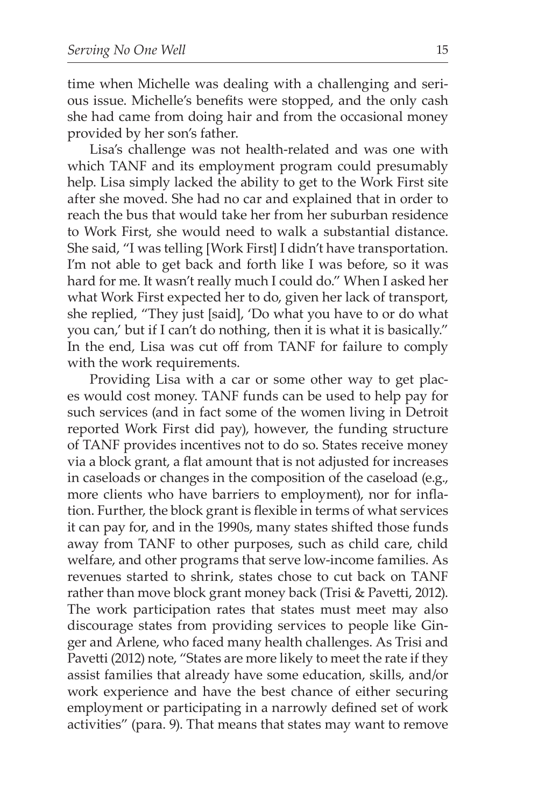time when Michelle was dealing with a challenging and serious issue. Michelle's benefits were stopped, and the only cash she had came from doing hair and from the occasional money provided by her son's father.

Lisa's challenge was not health-related and was one with which TANF and its employment program could presumably help. Lisa simply lacked the ability to get to the Work First site after she moved. She had no car and explained that in order to reach the bus that would take her from her suburban residence to Work First, she would need to walk a substantial distance. She said, "I was telling [Work First] I didn't have transportation. I'm not able to get back and forth like I was before, so it was hard for me. It wasn't really much I could do." When I asked her what Work First expected her to do, given her lack of transport, she replied, "They just [said], 'Do what you have to or do what you can,' but if I can't do nothing, then it is what it is basically." In the end, Lisa was cut off from TANF for failure to comply with the work requirements.

Providing Lisa with a car or some other way to get places would cost money. TANF funds can be used to help pay for such services (and in fact some of the women living in Detroit reported Work First did pay), however, the funding structure of TANF provides incentives not to do so. States receive money via a block grant, a flat amount that is not adjusted for increases in caseloads or changes in the composition of the caseload (e.g., more clients who have barriers to employment), nor for inflation. Further, the block grant is flexible in terms of what services it can pay for, and in the 1990s, many states shifted those funds away from TANF to other purposes, such as child care, child welfare, and other programs that serve low-income families. As revenues started to shrink, states chose to cut back on TANF rather than move block grant money back (Trisi & Pavetti, 2012). The work participation rates that states must meet may also discourage states from providing services to people like Ginger and Arlene, who faced many health challenges. As Trisi and Pavetti (2012) note, "States are more likely to meet the rate if they assist families that already have some education, skills, and/or work experience and have the best chance of either securing employment or participating in a narrowly defined set of work activities" (para. 9). That means that states may want to remove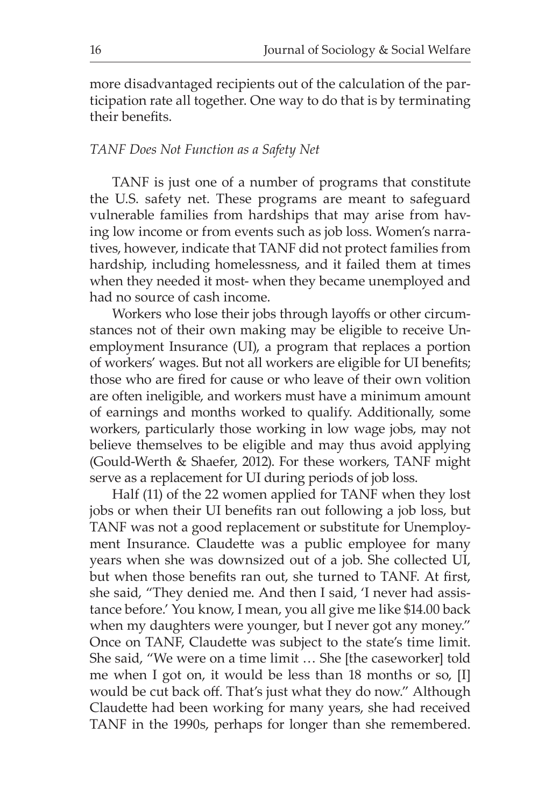more disadvantaged recipients out of the calculation of the participation rate all together. One way to do that is by terminating their benefits.

#### *TANF Does Not Function as a Safety Net*

TANF is just one of a number of programs that constitute the U.S. safety net. These programs are meant to safeguard vulnerable families from hardships that may arise from having low income or from events such as job loss. Women's narratives, however, indicate that TANF did not protect families from hardship, including homelessness, and it failed them at times when they needed it most- when they became unemployed and had no source of cash income.

Workers who lose their jobs through layoffs or other circumstances not of their own making may be eligible to receive Unemployment Insurance (UI), a program that replaces a portion of workers' wages. But not all workers are eligible for UI benefits; those who are fired for cause or who leave of their own volition are often ineligible, and workers must have a minimum amount of earnings and months worked to qualify. Additionally, some workers, particularly those working in low wage jobs, may not believe themselves to be eligible and may thus avoid applying (Gould-Werth & Shaefer, 2012). For these workers, TANF might serve as a replacement for UI during periods of job loss.

Half (11) of the 22 women applied for TANF when they lost jobs or when their UI benefits ran out following a job loss, but TANF was not a good replacement or substitute for Unemployment Insurance. Claudette was a public employee for many years when she was downsized out of a job. She collected UI, but when those benefits ran out, she turned to TANF. At first, she said, "They denied me. And then I said, 'I never had assistance before.' You know, I mean, you all give me like \$14.00 back when my daughters were younger, but I never got any money." Once on TANF, Claudette was subject to the state's time limit. She said, "We were on a time limit … She [the caseworker] told me when I got on, it would be less than 18 months or so, [I] would be cut back off. That's just what they do now." Although Claudette had been working for many years, she had received TANF in the 1990s, perhaps for longer than she remembered.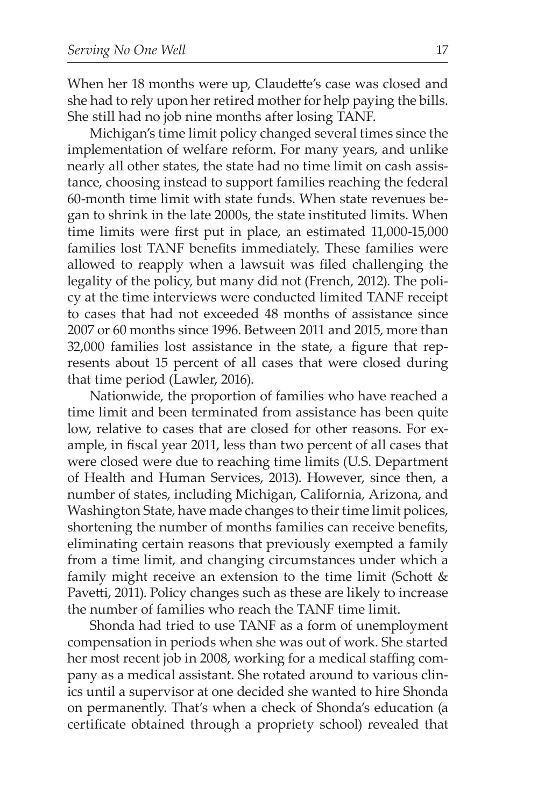When her 18 months were up, Claudette's case was closed and she had to rely upon her retired mother for help paying the bills. She still had no job nine months after losing TANF.

Michigan's time limit policy changed several times since the implementation of welfare reform. For many years, and unlike nearly all other states, the state had no time limit on cash assistance, choosing instead to support families reaching the federal 60-month time limit with state funds. When state revenues began to shrink in the late 2000s, the state instituted limits. When time limits were first put in place, an estimated 11,000-15,000 families lost TANF benefits immediately. These families were allowed to reapply when a lawsuit was filed challenging the legality of the policy, but many did not (French, 2012). The policy at the time interviews were conducted limited TANF receipt to cases that had not exceeded 48 months of assistance since 2007 or 60 months since 1996. Between 2011 and 2015, more than 32,000 families lost assistance in the state, a figure that represents about 15 percent of all cases that were closed during that time period (Lawler, 2016).

Nationwide, the proportion of families who have reached a time limit and been terminated from assistance has been quite low, relative to cases that are closed for other reasons. For example, in fiscal year 2011, less than two percent of all cases that were closed were due to reaching time limits (U.S. Department of Health and Human Services, 2013). However, since then, a number of states, including Michigan, California, Arizona, and Washington State, have made changes to their time limit polices, shortening the number of months families can receive benefits, eliminating certain reasons that previously exempted a family from a time limit, and changing circumstances under which a family might receive an extension to the time limit (Schott & Pavetti, 2011). Policy changes such as these are likely to increase the number of families who reach the TANF time limit.

Shonda had tried to use TANF as a form of unemployment compensation in periods when she was out of work. She started her most recent job in 2008, working for a medical staffing company as a medical assistant. She rotated around to various clinics until a supervisor at one decided she wanted to hire Shonda on permanently. That's when a check of Shonda's education (a certificate obtained through a propriety school) revealed that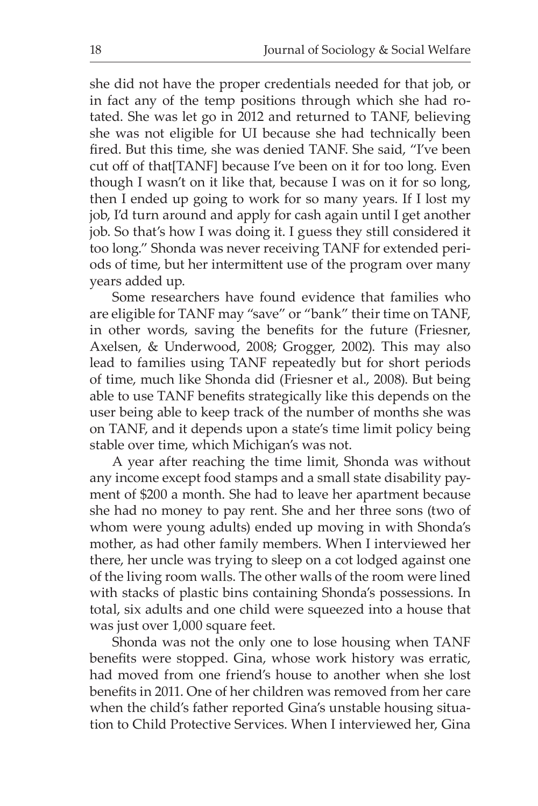she did not have the proper credentials needed for that job, or in fact any of the temp positions through which she had rotated. She was let go in 2012 and returned to TANF, believing she was not eligible for UI because she had technically been fired. But this time, she was denied TANF. She said, "I've been cut off of that[TANF] because I've been on it for too long. Even though I wasn't on it like that, because I was on it for so long, then I ended up going to work for so many years. If I lost my job, I'd turn around and apply for cash again until I get another job. So that's how I was doing it. I guess they still considered it too long." Shonda was never receiving TANF for extended periods of time, but her intermittent use of the program over many years added up.

Some researchers have found evidence that families who are eligible for TANF may "save" or "bank" their time on TANF, in other words, saving the benefits for the future (Friesner, Axelsen, & Underwood, 2008; Grogger, 2002). This may also lead to families using TANF repeatedly but for short periods of time, much like Shonda did (Friesner et al., 2008). But being able to use TANF benefits strategically like this depends on the user being able to keep track of the number of months she was on TANF, and it depends upon a state's time limit policy being stable over time, which Michigan's was not.

A year after reaching the time limit, Shonda was without any income except food stamps and a small state disability payment of \$200 a month. She had to leave her apartment because she had no money to pay rent. She and her three sons (two of whom were young adults) ended up moving in with Shonda's mother, as had other family members. When I interviewed her there, her uncle was trying to sleep on a cot lodged against one of the living room walls. The other walls of the room were lined with stacks of plastic bins containing Shonda's possessions. In total, six adults and one child were squeezed into a house that was just over 1,000 square feet.

Shonda was not the only one to lose housing when TANF benefits were stopped. Gina, whose work history was erratic, had moved from one friend's house to another when she lost benefits in 2011. One of her children was removed from her care when the child's father reported Gina's unstable housing situation to Child Protective Services. When I interviewed her, Gina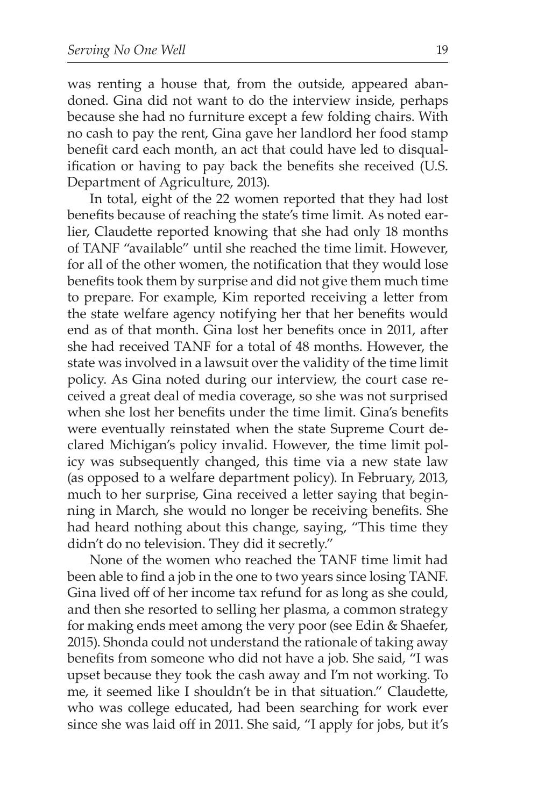was renting a house that, from the outside, appeared abandoned. Gina did not want to do the interview inside, perhaps because she had no furniture except a few folding chairs. With no cash to pay the rent, Gina gave her landlord her food stamp benefit card each month, an act that could have led to disqualification or having to pay back the benefits she received (U.S. Department of Agriculture, 2013).

In total, eight of the 22 women reported that they had lost benefits because of reaching the state's time limit. As noted earlier, Claudette reported knowing that she had only 18 months of TANF "available" until she reached the time limit. However, for all of the other women, the notification that they would lose benefits took them by surprise and did not give them much time to prepare. For example, Kim reported receiving a letter from the state welfare agency notifying her that her benefits would end as of that month. Gina lost her benefits once in 2011, after she had received TANF for a total of 48 months. However, the state was involved in a lawsuit over the validity of the time limit policy. As Gina noted during our interview, the court case received a great deal of media coverage, so she was not surprised when she lost her benefits under the time limit. Gina's benefits were eventually reinstated when the state Supreme Court declared Michigan's policy invalid. However, the time limit policy was subsequently changed, this time via a new state law (as opposed to a welfare department policy). In February, 2013, much to her surprise, Gina received a letter saying that beginning in March, she would no longer be receiving benefits. She had heard nothing about this change, saying, "This time they didn't do no television. They did it secretly."

None of the women who reached the TANF time limit had been able to find a job in the one to two years since losing TANF. Gina lived off of her income tax refund for as long as she could, and then she resorted to selling her plasma, a common strategy for making ends meet among the very poor (see Edin & Shaefer, 2015). Shonda could not understand the rationale of taking away benefits from someone who did not have a job. She said, "I was upset because they took the cash away and I'm not working. To me, it seemed like I shouldn't be in that situation." Claudette, who was college educated, had been searching for work ever since she was laid off in 2011. She said, "I apply for jobs, but it's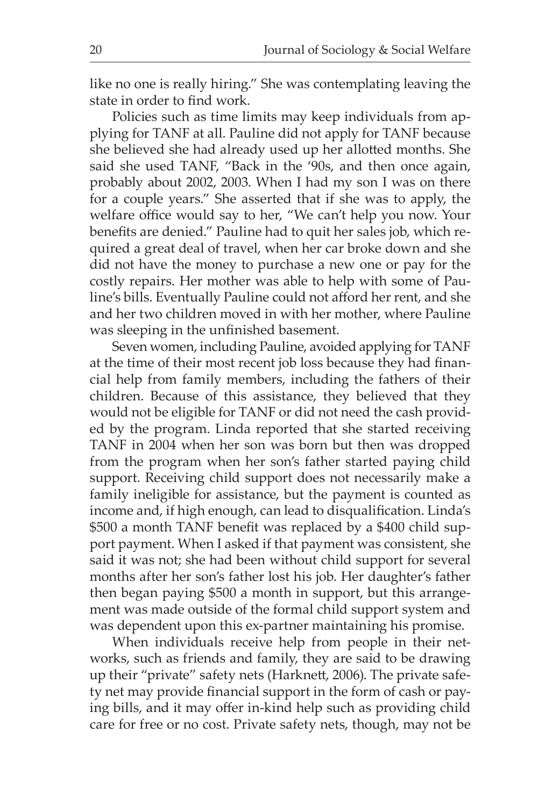like no one is really hiring." She was contemplating leaving the state in order to find work.

Policies such as time limits may keep individuals from applying for TANF at all. Pauline did not apply for TANF because she believed she had already used up her allotted months. She said she used TANF, "Back in the '90s, and then once again, probably about 2002, 2003. When I had my son I was on there for a couple years." She asserted that if she was to apply, the welfare office would say to her, "We can't help you now. Your benefits are denied." Pauline had to quit her sales job, which required a great deal of travel, when her car broke down and she did not have the money to purchase a new one or pay for the costly repairs. Her mother was able to help with some of Pauline's bills. Eventually Pauline could not afford her rent, and she and her two children moved in with her mother, where Pauline was sleeping in the unfinished basement.

Seven women, including Pauline, avoided applying for TANF at the time of their most recent job loss because they had financial help from family members, including the fathers of their children. Because of this assistance, they believed that they would not be eligible for TANF or did not need the cash provided by the program. Linda reported that she started receiving TANF in 2004 when her son was born but then was dropped from the program when her son's father started paying child support. Receiving child support does not necessarily make a family ineligible for assistance, but the payment is counted as income and, if high enough, can lead to disqualification. Linda's \$500 a month TANF benefit was replaced by a \$400 child support payment. When I asked if that payment was consistent, she said it was not; she had been without child support for several months after her son's father lost his job. Her daughter's father then began paying \$500 a month in support, but this arrangement was made outside of the formal child support system and was dependent upon this ex-partner maintaining his promise.

When individuals receive help from people in their networks, such as friends and family, they are said to be drawing up their "private" safety nets (Harknett, 2006). The private safety net may provide financial support in the form of cash or paying bills, and it may offer in-kind help such as providing child care for free or no cost. Private safety nets, though, may not be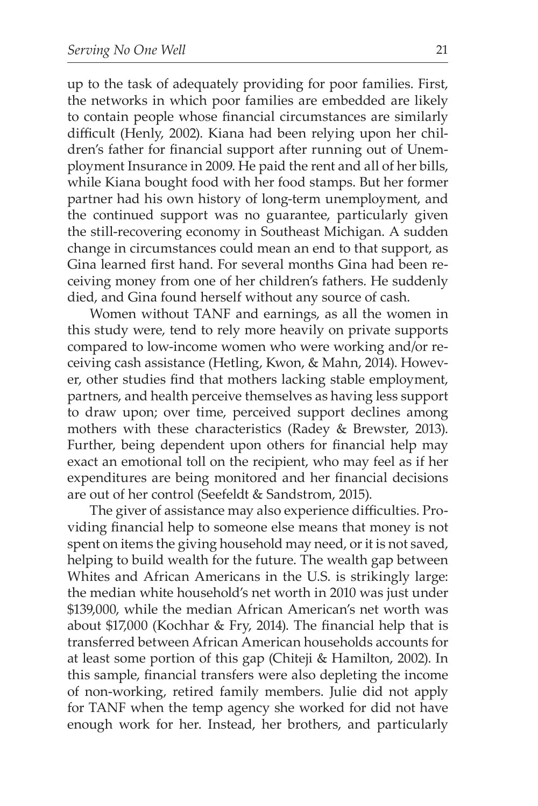up to the task of adequately providing for poor families. First, the networks in which poor families are embedded are likely to contain people whose financial circumstances are similarly difficult (Henly, 2002). Kiana had been relying upon her children's father for financial support after running out of Unemployment Insurance in 2009. He paid the rent and all of her bills, while Kiana bought food with her food stamps. But her former partner had his own history of long-term unemployment, and the continued support was no guarantee, particularly given the still-recovering economy in Southeast Michigan. A sudden change in circumstances could mean an end to that support, as Gina learned first hand. For several months Gina had been receiving money from one of her children's fathers. He suddenly died, and Gina found herself without any source of cash.

Women without TANF and earnings, as all the women in this study were, tend to rely more heavily on private supports compared to low-income women who were working and/or receiving cash assistance (Hetling, Kwon, & Mahn, 2014). However, other studies find that mothers lacking stable employment, partners, and health perceive themselves as having less support to draw upon; over time, perceived support declines among mothers with these characteristics (Radey & Brewster, 2013). Further, being dependent upon others for financial help may exact an emotional toll on the recipient, who may feel as if her expenditures are being monitored and her financial decisions are out of her control (Seefeldt & Sandstrom, 2015).

The giver of assistance may also experience difficulties. Providing financial help to someone else means that money is not spent on items the giving household may need, or it is not saved, helping to build wealth for the future. The wealth gap between Whites and African Americans in the U.S. is strikingly large: the median white household's net worth in 2010 was just under \$139,000, while the median African American's net worth was about \$17,000 (Kochhar & Fry, 2014). The financial help that is transferred between African American households accounts for at least some portion of this gap (Chiteji & Hamilton, 2002). In this sample, financial transfers were also depleting the income of non-working, retired family members. Julie did not apply for TANF when the temp agency she worked for did not have enough work for her. Instead, her brothers, and particularly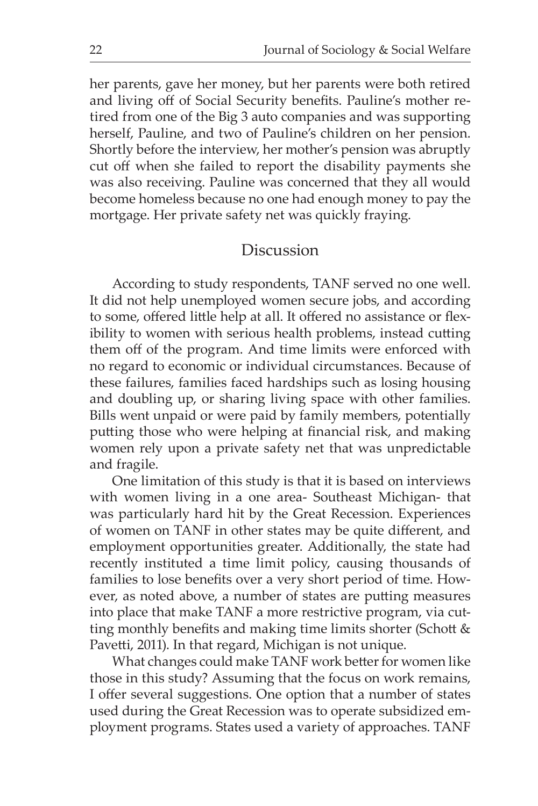her parents, gave her money, but her parents were both retired and living off of Social Security benefits. Pauline's mother retired from one of the Big 3 auto companies and was supporting herself, Pauline, and two of Pauline's children on her pension. Shortly before the interview, her mother's pension was abruptly cut off when she failed to report the disability payments she was also receiving. Pauline was concerned that they all would become homeless because no one had enough money to pay the mortgage. Her private safety net was quickly fraying.

#### Discussion

According to study respondents, TANF served no one well. It did not help unemployed women secure jobs, and according to some, offered little help at all. It offered no assistance or flexibility to women with serious health problems, instead cutting them off of the program. And time limits were enforced with no regard to economic or individual circumstances. Because of these failures, families faced hardships such as losing housing and doubling up, or sharing living space with other families. Bills went unpaid or were paid by family members, potentially putting those who were helping at financial risk, and making women rely upon a private safety net that was unpredictable and fragile.

One limitation of this study is that it is based on interviews with women living in a one area- Southeast Michigan- that was particularly hard hit by the Great Recession. Experiences of women on TANF in other states may be quite different, and employment opportunities greater. Additionally, the state had recently instituted a time limit policy, causing thousands of families to lose benefits over a very short period of time. However, as noted above, a number of states are putting measures into place that make TANF a more restrictive program, via cutting monthly benefits and making time limits shorter (Schott & Pavetti, 2011). In that regard, Michigan is not unique.

What changes could make TANF work better for women like those in this study? Assuming that the focus on work remains, I offer several suggestions. One option that a number of states used during the Great Recession was to operate subsidized employment programs. States used a variety of approaches. TANF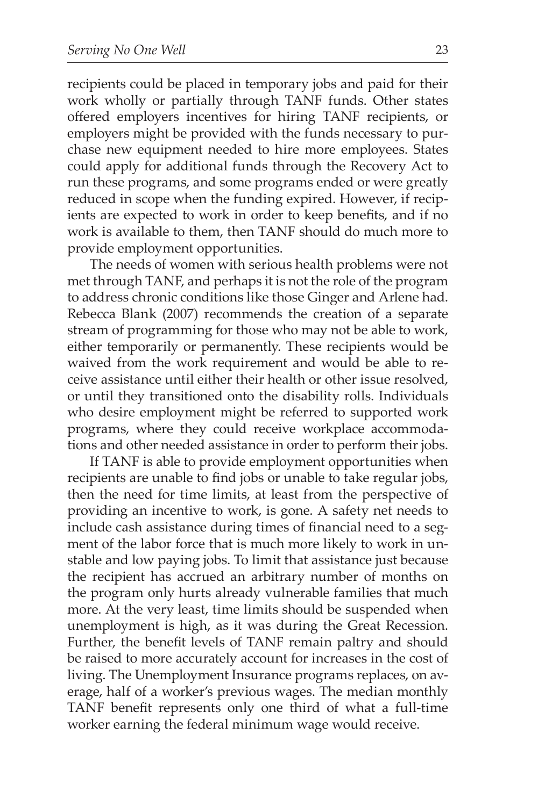recipients could be placed in temporary jobs and paid for their work wholly or partially through TANF funds. Other states offered employers incentives for hiring TANF recipients, or employers might be provided with the funds necessary to purchase new equipment needed to hire more employees. States could apply for additional funds through the Recovery Act to run these programs, and some programs ended or were greatly reduced in scope when the funding expired. However, if recipients are expected to work in order to keep benefits, and if no work is available to them, then TANF should do much more to provide employment opportunities.

The needs of women with serious health problems were not met through TANF, and perhaps it is not the role of the program to address chronic conditions like those Ginger and Arlene had. Rebecca Blank (2007) recommends the creation of a separate stream of programming for those who may not be able to work, either temporarily or permanently. These recipients would be waived from the work requirement and would be able to receive assistance until either their health or other issue resolved, or until they transitioned onto the disability rolls. Individuals who desire employment might be referred to supported work programs, where they could receive workplace accommodations and other needed assistance in order to perform their jobs.

If TANF is able to provide employment opportunities when recipients are unable to find jobs or unable to take regular jobs, then the need for time limits, at least from the perspective of providing an incentive to work, is gone. A safety net needs to include cash assistance during times of financial need to a segment of the labor force that is much more likely to work in unstable and low paying jobs. To limit that assistance just because the recipient has accrued an arbitrary number of months on the program only hurts already vulnerable families that much more. At the very least, time limits should be suspended when unemployment is high, as it was during the Great Recession. Further, the benefit levels of TANF remain paltry and should be raised to more accurately account for increases in the cost of living. The Unemployment Insurance programs replaces, on average, half of a worker's previous wages. The median monthly TANF benefit represents only one third of what a full-time worker earning the federal minimum wage would receive.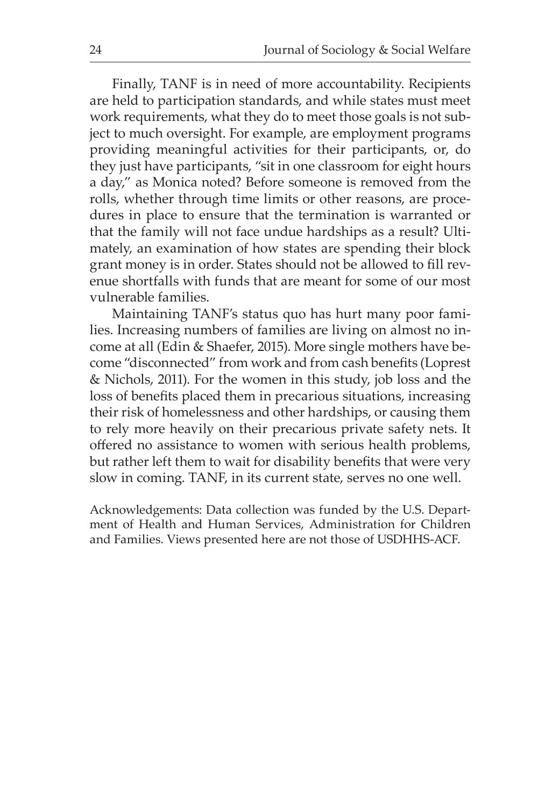Finally, TANF is in need of more accountability. Recipients are held to participation standards, and while states must meet work requirements, what they do to meet those goals is not subject to much oversight. For example, are employment programs providing meaningful activities for their participants, or, do they just have participants, "sit in one classroom for eight hours a day," as Monica noted? Before someone is removed from the rolls, whether through time limits or other reasons, are procedures in place to ensure that the termination is warranted or that the family will not face undue hardships as a result? Ultimately, an examination of how states are spending their block grant money is in order. States should not be allowed to fill revenue shortfalls with funds that are meant for some of our most vulnerable families.

Maintaining TANF's status quo has hurt many poor families. Increasing numbers of families are living on almost no income at all (Edin & Shaefer, 2015). More single mothers have become "disconnected" from work and from cash benefits (Loprest & Nichols, 2011). For the women in this study, job loss and the loss of benefits placed them in precarious situations, increasing their risk of homelessness and other hardships, or causing them to rely more heavily on their precarious private safety nets. It offered no assistance to women with serious health problems, but rather left them to wait for disability benefits that were very slow in coming. TANF, in its current state, serves no one well.

Acknowledgements: Data collection was funded by the U.S. Department of Health and Human Services, Administration for Children and Families. Views presented here are not those of USDHHS-ACF.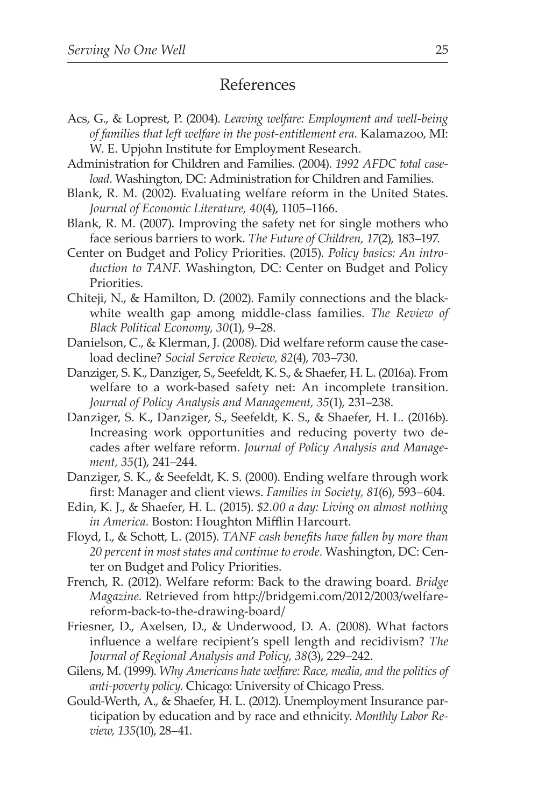## References

- Acs, G., & Loprest, P. (2004). *Leaving welfare: Employment and well-being of families that left welfare in the post-entitlement era.* Kalamazoo, MI: W. E. Upjohn Institute for Employment Research.
- Administration for Children and Families. (2004). *1992 AFDC total caseload.* Washington, DC: Administration for Children and Families.
- Blank, R. M. (2002). Evaluating welfare reform in the United States. *Journal of Economic Literature, 40*(4), 1105–1166.
- Blank, R. M. (2007). Improving the safety net for single mothers who face serious barriers to work. *The Future of Children, 17*(2), 183–197.
- Center on Budget and Policy Priorities. (2015). *Policy basics: An introduction to TANF.* Washington, DC: Center on Budget and Policy Priorities.
- Chiteji, N., & Hamilton, D. (2002). Family connections and the blackwhite wealth gap among middle-class families. *The Review of Black Political Economy, 30*(1), 9–28.
- Danielson, C., & Klerman, J. (2008). Did welfare reform cause the caseload decline? *Social Service Review, 82*(4), 703–730.
- Danziger, S. K., Danziger, S., Seefeldt, K. S., & Shaefer, H. L. (2016a). From welfare to a work-based safety net: An incomplete transition. *Journal of Policy Analysis and Management, 35*(1), 231–238.
- Danziger, S. K., Danziger, S., Seefeldt, K. S., & Shaefer, H. L. (2016b). Increasing work opportunities and reducing poverty two decades after welfare reform. *Journal of Policy Analysis and Management, 35*(1), 241–244.
- Danziger, S. K., & Seefeldt, K. S. (2000). Ending welfare through work first: Manager and client views. *Families in Society, 81*(6), 593–604.
- Edin, K. J., & Shaefer, H. L. (2015). *\$2.00 a day: Living on almost nothing in America.* Boston: Houghton Mifflin Harcourt.
- Floyd, I., & Schott, L. (2015). *TANF cash benefits have fallen by more than 20 percent in most states and continue to erode.* Washington, DC: Center on Budget and Policy Priorities.
- French, R. (2012). Welfare reform: Back to the drawing board. *Bridge Magazine.* Retrieved from http://bridgemi.com/2012/2003/welfarereform-back-to-the-drawing-board/
- Friesner, D., Axelsen, D., & Underwood, D. A. (2008). What factors influence a welfare recipient's spell length and recidivism? *The Journal of Regional Analysis and Policy, 38*(3), 229–242.
- Gilens, M. (1999). *Why Americans hate welfare: Race, media, and the politics of anti-poverty policy.* Chicago: University of Chicago Press.
- Gould-Werth, A., & Shaefer, H. L. (2012). Unemployment Insurance participation by education and by race and ethnicity. *Monthly Labor Review, 135*(10), 28–41.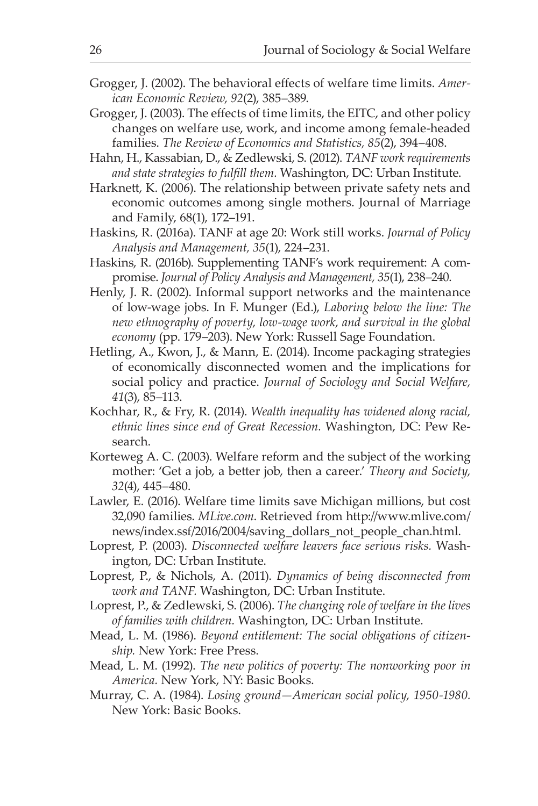- Grogger, J. (2002). The behavioral effects of welfare time limits. *American Economic Review, 92*(2), 385–389.
- Grogger, J. (2003). The effects of time limits, the EITC, and other policy changes on welfare use, work, and income among female-headed families. *The Review of Economics and Statistics, 85*(2), 394–408.
- Hahn, H., Kassabian, D., & Zedlewski, S. (2012). *TANF work requirements and state strategies to fulfill them.* Washington, DC: Urban Institute.
- Harknett, K. (2006). The relationship between private safety nets and economic outcomes among single mothers. Journal of Marriage and Family, 68(1), 172–191.
- Haskins, R. (2016a). TANF at age 20: Work still works. *Journal of Policy Analysis and Management, 35*(1), 224–231.
- Haskins, R. (2016b). Supplementing TANF's work requirement: A compromise. *Journal of Policy Analysis and Management, 35*(1), 238–240.
- Henly, J. R. (2002). Informal support networks and the maintenance of low-wage jobs. In F. Munger (Ed.), *Laboring below the line: The new ethnography of poverty, low-wage work, and survival in the global economy* (pp. 179–203). New York: Russell Sage Foundation.
- Hetling, A., Kwon, J., & Mann, E. (2014). Income packaging strategies of economically disconnected women and the implications for social policy and practice. *Journal of Sociology and Social Welfare, 41*(3), 85–113.
- Kochhar, R., & Fry, R. (2014). *Wealth inequality has widened along racial, ethnic lines since end of Great Recession.* Washington, DC: Pew Research.
- Korteweg A. C. (2003). Welfare reform and the subject of the working mother: 'Get a job, a better job, then a career.' *Theory and Society, 32*(4), 445–480.
- Lawler, E. (2016). Welfare time limits save Michigan millions, but cost 32,090 families. *MLive.com*. Retrieved from http://www.mlive.com/ news/index.ssf/2016/2004/saving\_dollars\_not\_people\_chan.html.
- Loprest, P. (2003). *Disconnected welfare leavers face serious risks.* Washington, DC: Urban Institute.
- Loprest, P., & Nichols, A. (2011). *Dynamics of being disconnected from work and TANF.* Washington, DC: Urban Institute.
- Loprest, P., & Zedlewski, S. (2006). *The changing role of welfare in the lives of families with children.* Washington, DC: Urban Institute.
- Mead, L. M. (1986). *Beyond entitlement: The social obligations of citizenship.* New York: Free Press.
- Mead, L. M. (1992). *The new politics of poverty: The nonworking poor in America.* New York, NY: Basic Books.
- Murray, C. A. (1984). *Losing ground—American social policy, 1950-1980.* New York: Basic Books.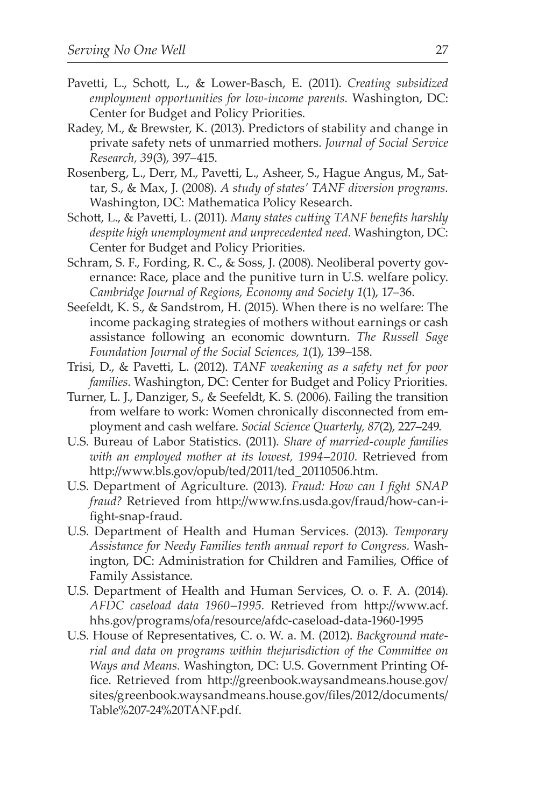- Pavetti, L., Schott, L., & Lower-Basch, E. (2011). *Creating subsidized employment opportunities for low-income parents.* Washington, DC: Center for Budget and Policy Priorities.
- Radey, M., & Brewster, K. (2013). Predictors of stability and change in private safety nets of unmarried mothers. *Journal of Social Service Research, 39*(3), 397–415.
- Rosenberg, L., Derr, M., Pavetti, L., Asheer, S., Hague Angus, M., Sattar, S., & Max, J. (2008). *A study of states' TANF diversion programs.* Washington, DC: Mathematica Policy Research.
- Schott, L., & Pavetti, L. (2011). *Many states cutting TANF benefits harshly despite high unemployment and unprecedented need.* Washington, DC: Center for Budget and Policy Priorities.
- Schram, S. F., Fording, R. C., & Soss, J. (2008). Neoliberal poverty governance: Race, place and the punitive turn in U.S. welfare policy. *Cambridge Journal of Regions, Economy and Society 1*(1), 17–36.
- Seefeldt, K. S., & Sandstrom, H. (2015). When there is no welfare: The income packaging strategies of mothers without earnings or cash assistance following an economic downturn. *The Russell Sage Foundation Journal of the Social Sciences, 1*(1), 139–158.
- Trisi, D., & Pavetti, L. (2012). *TANF weakening as a safety net for poor families.* Washington, DC: Center for Budget and Policy Priorities.
- Turner, L. J., Danziger, S., & Seefeldt, K. S. (2006). Failing the transition from welfare to work: Women chronically disconnected from employment and cash welfare. *Social Science Quarterly, 87*(2), 227–249.
- U.S. Bureau of Labor Statistics. (2011). *Share of married-couple families with an employed mother at its lowest, 1994–2010.* Retrieved from http://www.bls.gov/opub/ted/2011/ted\_20110506.htm.
- U.S. Department of Agriculture. (2013). *Fraud: How can I fight SNAP fraud?* Retrieved from http://www.fns.usda.gov/fraud/how-can-ifight-snap-fraud.
- U.S. Department of Health and Human Services. (2013). *Temporary Assistance for Needy Families tenth annual report to Congress.* Washington, DC: Administration for Children and Families, Office of Family Assistance.
- U.S. Department of Health and Human Services, O. o. F. A. (2014). *AFDC caseload data 1960–1995.* Retrieved from http://www.acf. hhs.gov/programs/ofa/resource/afdc-caseload-data-1960-1995
- U.S. House of Representatives, C. o. W. a. M. (2012). *Background material and data on programs within thejurisdiction of the Committee on Ways and Means.* Washington, DC: U.S. Government Printing Office. Retrieved from http://greenbook.waysandmeans.house.gov/ sites/greenbook.waysandmeans.house.gov/files/2012/documents/ Table%207-24%20TANF.pdf.